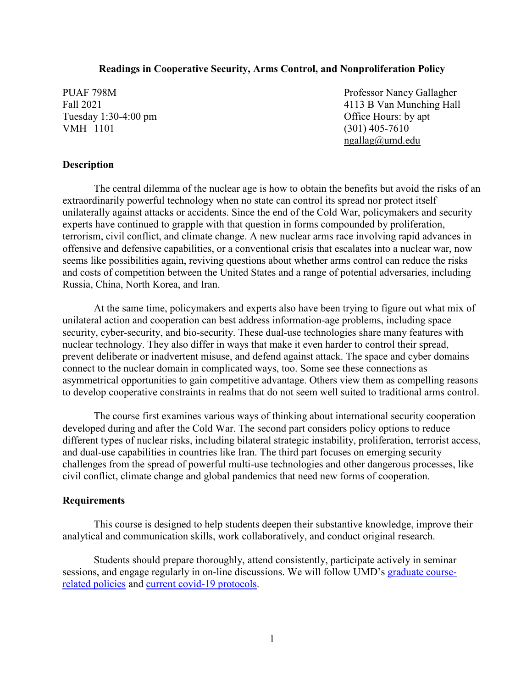#### **Readings in Cooperative Security, Arms Control, and Nonproliferation Policy**

Tuesday 1:30-4:00 pm Office Hours: by apt VMH 1101 (301) 405-7610

PUAF 798M Professor Nancy Gallagher Fall 2021 4113 B Van Munching Hall [ngallag@umd.edu](mailto:ngallag@umd.edu)

#### **Description**

The central dilemma of the nuclear age is how to obtain the benefits but avoid the risks of an extraordinarily powerful technology when no state can control its spread nor protect itself unilaterally against attacks or accidents. Since the end of the Cold War, policymakers and security experts have continued to grapple with that question in forms compounded by proliferation, terrorism, civil conflict, and climate change. A new nuclear arms race involving rapid advances in offensive and defensive capabilities, or a conventional crisis that escalates into a nuclear war, now seems like possibilities again, reviving questions about whether arms control can reduce the risks and costs of competition between the United States and a range of potential adversaries, including Russia, China, North Korea, and Iran.

At the same time, policymakers and experts also have been trying to figure out what mix of unilateral action and cooperation can best address information-age problems, including space security, cyber-security, and bio-security. These dual-use technologies share many features with nuclear technology. They also differ in ways that make it even harder to control their spread, prevent deliberate or inadvertent misuse, and defend against attack. The space and cyber domains connect to the nuclear domain in complicated ways, too. Some see these connections as asymmetrical opportunities to gain competitive advantage. Others view them as compelling reasons to develop cooperative constraints in realms that do not seem well suited to traditional arms control.

The course first examines various ways of thinking about international security cooperation developed during and after the Cold War. The second part considers policy options to reduce different types of nuclear risks, including bilateral strategic instability, proliferation, terrorist access, and dual-use capabilities in countries like Iran. The third part focuses on emerging security challenges from the spread of powerful multi-use technologies and other dangerous processes, like civil conflict, climate change and global pandemics that need new forms of cooperation.

#### **Requirements**

This course is designed to help students deepen their substantive knowledge, improve their analytical and communication skills, work collaboratively, and conduct original research.

Students should prepare thoroughly, attend consistently, participate actively in seminar sessions, and engage regularly in on-line discussions. We will follow UMD's [graduate course](https://gradschool.umd.edu/faculty-and-staff/course-related-policies)[related policies](https://gradschool.umd.edu/faculty-and-staff/course-related-policies) and [current covid-19 protocols.](https://umd.edu/4Maryland)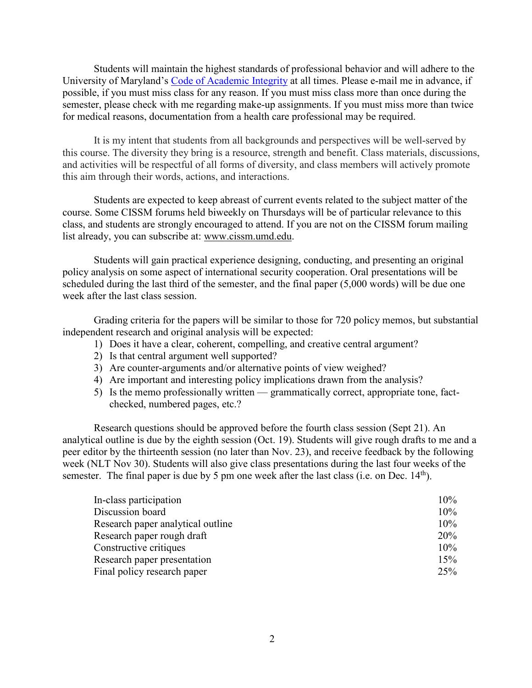Students will maintain the highest standards of professional behavior and will adhere to the University of Maryland's [Code of Academic Integrity](https://academiccatalog.umd.edu/undergraduate/registration-academic-requirements-regulations/academic-integrity-student-conduct-codes/) at all times. Please e-mail me in advance, if possible, if you must miss class for any reason. If you must miss class more than once during the semester, please check with me regarding make-up assignments. If you must miss more than twice for medical reasons, documentation from a health care professional may be required.

It is my intent that students from all backgrounds and perspectives will be well-served by this course. The diversity they bring is a resource, strength and benefit. Class materials, discussions, and activities will be respectful of all forms of diversity, and class members will actively promote this aim through their words, actions, and interactions.

Students are expected to keep abreast of current events related to the subject matter of the course. Some CISSM forums held biweekly on Thursdays will be of particular relevance to this class, and students are strongly encouraged to attend. If you are not on the CISSM forum mailing list already, you can subscribe at: [www.cissm.umd.edu.](http://www.cissm.umd.edu/)

Students will gain practical experience designing, conducting, and presenting an original policy analysis on some aspect of international security cooperation. Oral presentations will be scheduled during the last third of the semester, and the final paper (5,000 words) will be due one week after the last class session.

Grading criteria for the papers will be similar to those for 720 policy memos, but substantial independent research and original analysis will be expected:

- 1) Does it have a clear, coherent, compelling, and creative central argument?
- 2) Is that central argument well supported?
- 3) Are counter-arguments and/or alternative points of view weighed?
- 4) Are important and interesting policy implications drawn from the analysis?
- 5) Is the memo professionally written grammatically correct, appropriate tone, factchecked, numbered pages, etc.?

Research questions should be approved before the fourth class session (Sept 21). An analytical outline is due by the eighth session (Oct. 19). Students will give rough drafts to me and a peer editor by the thirteenth session (no later than Nov. 23), and receive feedback by the following week (NLT Nov 30). Students will also give class presentations during the last four weeks of the semester. The final paper is due by 5 pm one week after the last class (i.e. on Dec.  $14<sup>th</sup>$ ).

| In-class participation            | 10% |
|-----------------------------------|-----|
| Discussion board                  | 10% |
| Research paper analytical outline | 10% |
| Research paper rough draft        | 20% |
| Constructive critiques            | 10% |
| Research paper presentation       | 15% |
| Final policy research paper       | 25% |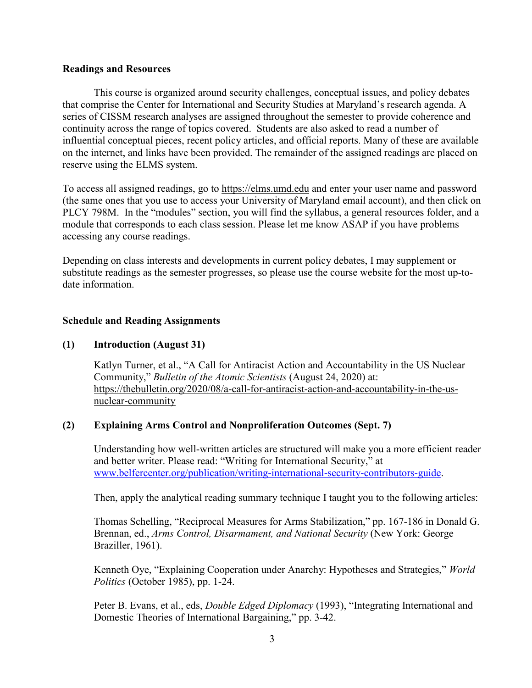#### **Readings and Resources**

This course is organized around security challenges, conceptual issues, and policy debates that comprise the Center for International and Security Studies at Maryland's research agenda. A series of CISSM research analyses are assigned throughout the semester to provide coherence and continuity across the range of topics covered. Students are also asked to read a number of influential conceptual pieces, recent policy articles, and official reports. Many of these are available on the internet, and links have been provided. The remainder of the assigned readings are placed on reserve using the ELMS system.

To access all assigned readings, go to https://elms.umd.edu and enter your user name and password (the same ones that you use to access your University of Maryland email account), and then click on PLCY 798M. In the "modules" section, you will find the syllabus, a general resources folder, and a module that corresponds to each class session. Please let me know ASAP if you have problems accessing any course readings.

Depending on class interests and developments in current policy debates, I may supplement or substitute readings as the semester progresses, so please use the course website for the most up-todate information.

#### **Schedule and Reading Assignments**

#### **(1) Introduction (August 31)**

Katlyn Turner, et al., "A Call for Antiracist Action and Accountability in the US Nuclear Community," *Bulletin of the Atomic Scientists* (August 24, 2020) at: [https://thebulletin.org/2020/08/a-call-for-antiracist-action-and-accountability-in-the-us](https://thebulletin.org/2020/08/a-call-for-antiracist-action-and-accountability-in-the-us-nuclear-community)[nuclear-community](https://thebulletin.org/2020/08/a-call-for-antiracist-action-and-accountability-in-the-us-nuclear-community)

#### **(2) Explaining Arms Control and Nonproliferation Outcomes (Sept. 7)**

Understanding how well-written articles are structured will make you a more efficient reader and better writer. Please read: "Writing for International Security," at [www.belfercenter.org/publication/writing-international-security-contributors-guide.](http://www.belfercenter.org/publication/writing-international-security-contributors-guide)

Then, apply the analytical reading summary technique I taught you to the following articles:

Thomas Schelling, "Reciprocal Measures for Arms Stabilization," pp. 167-186 in Donald G. Brennan, ed., *Arms Control, Disarmament, and National Security* (New York: George Braziller, 1961).

Kenneth Oye, "Explaining Cooperation under Anarchy: Hypotheses and Strategies," *World Politics* (October 1985), pp. 1-24.

Peter B. Evans, et al., eds, *Double Edged Diplomacy* (1993), "Integrating International and Domestic Theories of International Bargaining," pp. 3-42.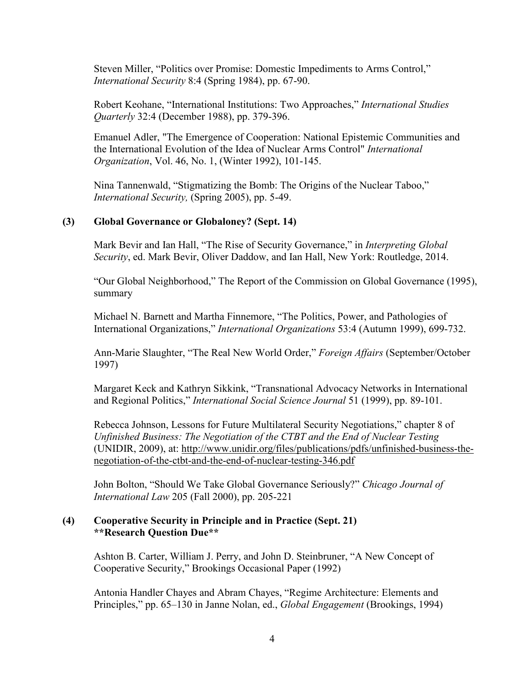Steven Miller, "Politics over Promise: Domestic Impediments to Arms Control," *International Security* 8:4 (Spring 1984), pp. 67-90.

Robert Keohane, "International Institutions: Two Approaches," *International Studies Quarterly* 32:4 (December 1988), pp. 379-396.

Emanuel Adler, "The Emergence of Cooperation: National Epistemic Communities and the International Evolution of the Idea of Nuclear Arms Control" *International Organization*, Vol. 46, No. 1, (Winter 1992), 101-145.

Nina Tannenwald, "Stigmatizing the Bomb: The Origins of the Nuclear Taboo," *International Security,* (Spring 2005), pp. 5-49.

#### **(3) Global Governance or Globaloney? (Sept. 14)**

Mark Bevir and Ian Hall, "The Rise of Security Governance," in *Interpreting Global Security*, ed. Mark Bevir, Oliver Daddow, and Ian Hall, New York: Routledge, 2014.

"Our Global Neighborhood," The Report of the Commission on Global Governance (1995), summary

Michael N. Barnett and Martha Finnemore, "The Politics, Power, and Pathologies of International Organizations," *International Organizations* 53:4 (Autumn 1999), 699-732.

Ann-Marie Slaughter, "The Real New World Order," *Foreign Affairs* (September/October 1997)

Margaret Keck and Kathryn Sikkink, "Transnational Advocacy Networks in International and Regional Politics," *International Social Science Journal* 51 (1999), pp. 89-101.

Rebecca Johnson, Lessons for Future Multilateral Security Negotiations," chapter 8 of *Unfinished Business: The Negotiation of the CTBT and the End of Nuclear Testing* (UNIDIR, 2009), at: [http://www.unidir.org/files/publications/pdfs/unfinished-business-the](http://www.unidir.org/files/publications/pdfs/unfinished-business-the-negotiation-of-the-ctbt-and-the-end-of-nuclear-testing-346.pdf)[negotiation-of-the-ctbt-and-the-end-of-nuclear-testing-346.pdf](http://www.unidir.org/files/publications/pdfs/unfinished-business-the-negotiation-of-the-ctbt-and-the-end-of-nuclear-testing-346.pdf)

John Bolton, "Should We Take Global Governance Seriously?" *Chicago Journal of International Law* 205 (Fall 2000), pp. 205-221

### **(4) Cooperative Security in Principle and in Practice (Sept. 21) \*\*Research Question Due\*\***

Ashton B. Carter, William J. Perry, and John D. Steinbruner, "A New Concept of Cooperative Security," Brookings Occasional Paper (1992)

Antonia Handler Chayes and Abram Chayes, "Regime Architecture: Elements and Principles," pp. 65–130 in Janne Nolan, ed., *Global Engagement* (Brookings, 1994)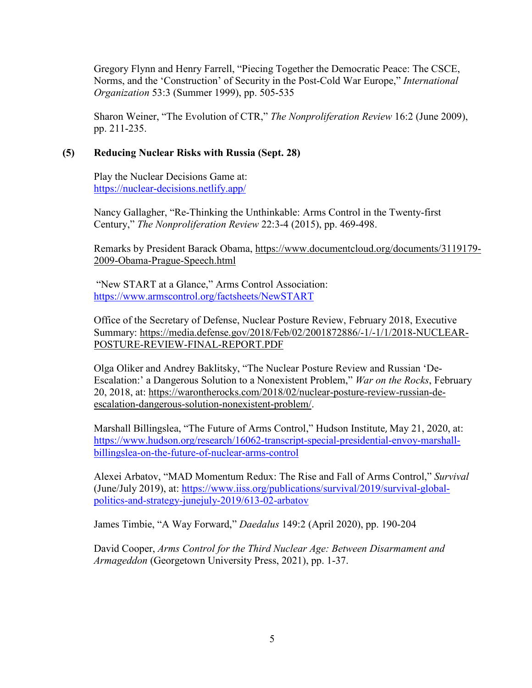Gregory Flynn and Henry Farrell, "Piecing Together the Democratic Peace: The CSCE, Norms, and the 'Construction' of Security in the Post-Cold War Europe," *International Organization* 53:3 (Summer 1999), pp. 505-535

Sharon Weiner, "The Evolution of CTR," *The Nonproliferation Review* 16:2 (June 2009), pp. 211-235.

# **(5) Reducing Nuclear Risks with Russia (Sept. 28)**

Play the Nuclear Decisions Game at: <https://nuclear-decisions.netlify.app/>

Nancy Gallagher, "Re-Thinking the Unthinkable: Arms Control in the Twenty-first Century," *The Nonproliferation Review* 22:3-4 (2015), pp. 469-498.

Remarks by President Barack Obama, [https://www.documentcloud.org/documents/3119179-](https://www.documentcloud.org/documents/3119179-2009-Obama-Prague-Speech.html) [2009-Obama-Prague-Speech.html](https://www.documentcloud.org/documents/3119179-2009-Obama-Prague-Speech.html)

"New START at a Glance," Arms Control Association: <https://www.armscontrol.org/factsheets/NewSTART>

Office of the Secretary of Defense, Nuclear Posture Review, February 2018, Executive Summary: [https://media.defense.gov/2018/Feb/02/2001872886/-1/-1/1/2018-NUCLEAR-](https://media.defense.gov/2018/Feb/02/2001872886/-1/-1/1/2018-NUCLEAR-POSTURE-REVIEW-FINAL-REPORT.PDF)[POSTURE-REVIEW-FINAL-REPORT.PDF](https://media.defense.gov/2018/Feb/02/2001872886/-1/-1/1/2018-NUCLEAR-POSTURE-REVIEW-FINAL-REPORT.PDF)

Olga Oliker and Andrey Baklitsky, "The Nuclear Posture Review and Russian 'De-Escalation:' a Dangerous Solution to a Nonexistent Problem," *War on the Rocks*, February 20, 2018, at: [https://warontherocks.com/2018/02/nuclear-posture-review-russian-de](https://warontherocks.com/2018/02/nuclear-posture-review-russian-de-escalation-dangerous-solution-nonexistent-problem/)[escalation-dangerous-solution-nonexistent-problem/.](https://warontherocks.com/2018/02/nuclear-posture-review-russian-de-escalation-dangerous-solution-nonexistent-problem/)

Marshall Billingslea, "The Future of Arms Control," Hudson Institute, May 21, 2020, at: [https://www.hudson.org/research/16062-transcript-special-presidential-envoy-marshall](https://www.hudson.org/research/16062-transcript-special-presidential-envoy-marshall-billingslea-on-the-future-of-nuclear-arms-control)[billingslea-on-the-future-of-nuclear-arms-control](https://www.hudson.org/research/16062-transcript-special-presidential-envoy-marshall-billingslea-on-the-future-of-nuclear-arms-control)

Alexei Arbatov, "MAD Momentum Redux: The Rise and Fall of Arms Control," *Survival*  (June/July 2019), at: [https://www.iiss.org/publications/survival/2019/survival-global](https://www.iiss.org/publications/survival/2019/survival-global-politics-and-strategy-junejuly-2019/613-02-arbatov)[politics-and-strategy-junejuly-2019/613-02-arbatov](https://www.iiss.org/publications/survival/2019/survival-global-politics-and-strategy-junejuly-2019/613-02-arbatov)

James Timbie, "A Way Forward," *Daedalus* 149:2 (April 2020), pp. 190-204

David Cooper, *Arms Control for the Third Nuclear Age: Between Disarmament and Armageddon* (Georgetown University Press, 2021), pp. 1-37.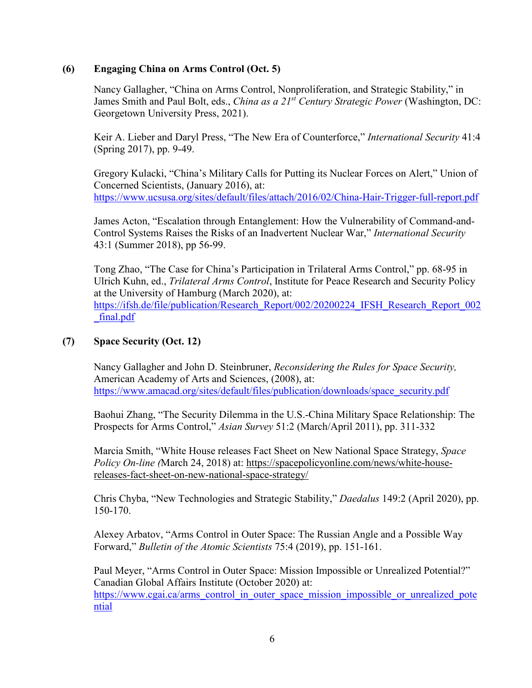# **(6) Engaging China on Arms Control (Oct. 5)**

Nancy Gallagher, "China on Arms Control, Nonproliferation, and Strategic Stability," in James Smith and Paul Bolt, eds., *China as a 21st Century Strategic Power* (Washington, DC: Georgetown University Press, 2021).

Keir A. Lieber and Daryl Press, "The New Era of Counterforce," *International Security* 41:4 (Spring 2017), pp. 9-49.

Gregory Kulacki, "China's Military Calls for Putting its Nuclear Forces on Alert," Union of Concerned Scientists, (January 2016), at: <https://www.ucsusa.org/sites/default/files/attach/2016/02/China-Hair-Trigger-full-report.pdf>

James Acton, "Escalation through Entanglement: How the Vulnerability of Command-and-Control Systems Raises the Risks of an Inadvertent Nuclear War," *International Security* 43:1 (Summer 2018), pp 56-99.

Tong Zhao, "The Case for China's Participation in Trilateral Arms Control," pp. 68-95 in Ulrich Kuhn, ed., *Trilateral Arms Control*, Institute for Peace Research and Security Policy at the University of Hamburg (March 2020), at: [https://ifsh.de/file/publication/Research\\_Report/002/20200224\\_IFSH\\_Research\\_Report\\_002](https://ifsh.de/file/publication/Research_Report/002/20200224_IFSH_Research_Report_002_final.pdf) [\\_final.pdf](https://ifsh.de/file/publication/Research_Report/002/20200224_IFSH_Research_Report_002_final.pdf)

## **(7) Space Security (Oct. 12)**

Nancy Gallagher and John D. Steinbruner, *Reconsidering the Rules for Space Security,*  American Academy of Arts and Sciences, (2008), at: [https://www.amacad.org/sites/default/files/publication/downloads/space\\_security.pdf](https://www.amacad.org/sites/default/files/publication/downloads/space_security.pdf)

Baohui Zhang, "The Security Dilemma in the U.S.-China Military Space Relationship: The Prospects for Arms Control," *Asian Survey* 51:2 (March/April 2011), pp. 311-332

Marcia Smith, "White House releases Fact Sheet on New National Space Strategy, *Space Policy On-line (*March 24, 2018) at: [https://spacepolicyonline.com/news/white-house](https://spacepolicyonline.com/news/white-house-releases-fact-sheet-on-new-national-space-strategy/)[releases-fact-sheet-on-new-national-space-strategy/](https://spacepolicyonline.com/news/white-house-releases-fact-sheet-on-new-national-space-strategy/)

Chris Chyba, "New Technologies and Strategic Stability," *Daedalus* 149:2 (April 2020), pp. 150-170.

Alexey Arbatov, "Arms Control in Outer Space: The Russian Angle and a Possible Way Forward," *Bulletin of the Atomic Scientists* 75:4 (2019), pp. 151-161.

Paul Meyer, "Arms Control in Outer Space: Mission Impossible or Unrealized Potential?" Canadian Global Affairs Institute (October 2020) at: [https://www.cgai.ca/arms\\_control\\_in\\_outer\\_space\\_mission\\_impossible\\_or\\_unrealized\\_pote](https://www.cgai.ca/arms_control_in_outer_space_mission_impossible_or_unrealized_potential) [ntial](https://www.cgai.ca/arms_control_in_outer_space_mission_impossible_or_unrealized_potential)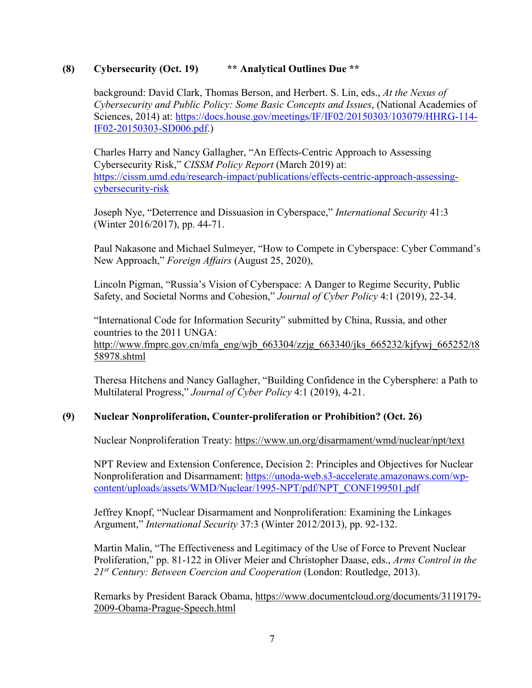## **(8) Cybersecurity (Oct. 19) \*\* Analytical Outlines Due \*\***

background: David Clark, Thomas Berson, and Herbert. S. Lin, eds., *At the Nexus of Cybersecurity and Public Policy: Some Basic Concepts and Issues*, (National Academies of Sciences, 2014) at: [https://docs.house.gov/meetings/IF/IF02/20150303/103079/HHRG-114-](https://docs.house.gov/meetings/IF/IF02/20150303/103079/HHRG-114-IF02-20150303-SD006.pdf) [IF02-20150303-SD006.pdf.](https://docs.house.gov/meetings/IF/IF02/20150303/103079/HHRG-114-IF02-20150303-SD006.pdf))

Charles Harry and Nancy Gallagher, "An Effects-Centric Approach to Assessing Cybersecurity Risk," *CISSM Policy Report* (March 2019) at: [https://cissm.umd.edu/research-impact/publications/effects-centric-approach-assessing](https://cissm.umd.edu/research-impact/publications/effects-centric-approach-assessing-cybersecurity-risk)[cybersecurity-risk](https://cissm.umd.edu/research-impact/publications/effects-centric-approach-assessing-cybersecurity-risk)

Joseph Nye, "Deterrence and Dissuasion in Cyberspace," *International Security* 41:3 (Winter 2016/2017), pp. 44-71.

Paul Nakasone and Michael Sulmeyer, "How to Compete in Cyberspace: Cyber Command's New Approach," *Foreign Affairs* (August 25, 2020),

Lincoln Pigman, "Russia's Vision of Cyberspace: A Danger to Regime Security, Public Safety, and Societal Norms and Cohesion," *Journal of Cyber Policy* 4:1 (2019), 22-34.

"International Code for Information Security" submitted by China, Russia, and other countries to the 2011 UNGA: [http://www.fmprc.gov.cn/mfa\\_eng/wjb\\_663304/zzjg\\_663340/jks\\_665232/kjfywj\\_665252/t8](http://www.fmprc.gov.cn/mfa_eng/wjb_663304/zzjg_663340/jks_665232/kjfywj_665252/t858978.shtml) [58978.shtml](http://www.fmprc.gov.cn/mfa_eng/wjb_663304/zzjg_663340/jks_665232/kjfywj_665252/t858978.shtml)

Theresa Hitchens and Nancy Gallagher, "Building Confidence in the Cybersphere: a Path to Multilateral Progress," *Journal of Cyber Policy* 4:1 (2019), 4-21.

# **(9) Nuclear Nonproliferation, Counter-proliferation or Prohibition? (Oct. 26)**

Nuclear Nonproliferation Treaty:<https://www.un.org/disarmament/wmd/nuclear/npt/text>

NPT Review and Extension Conference, Decision 2: Principles and Objectives for Nuclear Nonproliferation and Disarmament: [https://unoda-web.s3-accelerate.amazonaws.com/wp](https://unoda-web.s3-accelerate.amazonaws.com/wp-content/uploads/assets/WMD/Nuclear/1995-NPT/pdf/NPT_CONF199501.pdf)[content/uploads/assets/WMD/Nuclear/1995-NPT/pdf/NPT\\_CONF199501.pdf](https://unoda-web.s3-accelerate.amazonaws.com/wp-content/uploads/assets/WMD/Nuclear/1995-NPT/pdf/NPT_CONF199501.pdf)

Jeffrey Knopf, "Nuclear Disarmament and Nonproliferation: Examining the Linkages Argument," *International Security* 37:3 (Winter 2012/2013), pp. 92-132.

Martin Malin, "The Effectiveness and Legitimacy of the Use of Force to Prevent Nuclear Proliferation," pp. 81-122 in Oliver Meier and Christopher Daase, eds., *Arms Control in the 21st Century: Between Coercion and Cooperation* (London: Routledge, 2013).

Remarks by President Barack Obama, [https://www.documentcloud.org/documents/3119179-](https://www.documentcloud.org/documents/3119179-2009-Obama-Prague-Speech.html) [2009-Obama-Prague-Speech.html](https://www.documentcloud.org/documents/3119179-2009-Obama-Prague-Speech.html)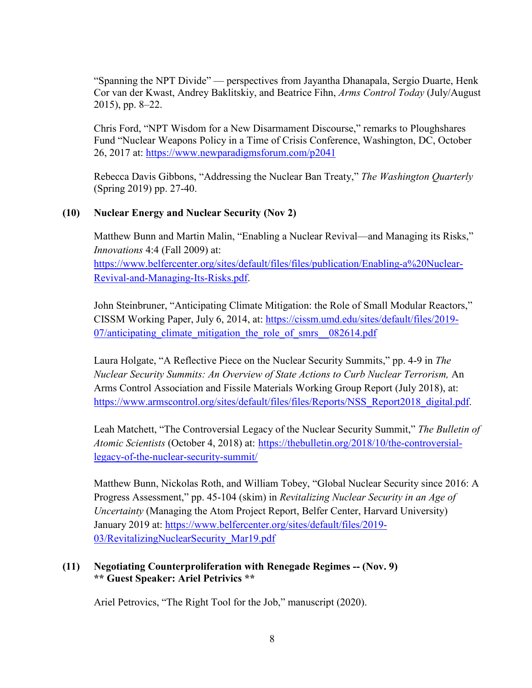"Spanning the NPT Divide" — perspectives from Jayantha Dhanapala, Sergio Duarte, Henk Cor van der Kwast, Andrey Baklitskiy, and Beatrice Fihn, *Arms Control Today* (July/August 2015), pp. 8–22.

Chris Ford, "NPT Wisdom for a New Disarmament Discourse," remarks to Ploughshares Fund "Nuclear Weapons Policy in a Time of Crisis Conference, Washington, DC, October 26, 2017 at:<https://www.newparadigmsforum.com/p2041>

Rebecca Davis Gibbons, "Addressing the Nuclear Ban Treaty," *The Washington Quarterly* (Spring 2019) pp. 27-40.

# **(10) Nuclear Energy and Nuclear Security (Nov 2)**

Matthew Bunn and Martin Malin, "Enabling a Nuclear Revival—and Managing its Risks," *Innovations* 4:4 (Fall 2009) at: [https://www.belfercenter.org/sites/default/files/files/publication/Enabling-a%20Nuclear-](https://www.belfercenter.org/sites/default/files/files/publication/Enabling-a%20Nuclear-Revival-and-Managing-Its-Risks.pdf)[Revival-and-Managing-Its-Risks.pdf.](https://www.belfercenter.org/sites/default/files/files/publication/Enabling-a%20Nuclear-Revival-and-Managing-Its-Risks.pdf)

John Steinbruner, "Anticipating Climate Mitigation: the Role of Small Modular Reactors," CISSM Working Paper, July 6, 2014, at: [https://cissm.umd.edu/sites/default/files/2019-](https://cissm.umd.edu/sites/default/files/2019-07/anticipating_climate_mitigation_the_role_of_smrs__082614.pdf) 07/anticipating climate mitigation the role of smrs 082614.pdf

Laura Holgate, "A Reflective Piece on the Nuclear Security Summits," pp. 4-9 in *The Nuclear Security Summits: An Overview of State Actions to Curb Nuclear Terrorism,* An Arms Control Association and Fissile Materials Working Group Report (July 2018), at: [https://www.armscontrol.org/sites/default/files/files/Reports/NSS\\_Report2018\\_digital.pdf.](https://www.armscontrol.org/sites/default/files/files/Reports/NSS_Report2018_digital.pdf)

Leah Matchett, "The Controversial Legacy of the Nuclear Security Summit," *The Bulletin of Atomic Scientists* (October 4, 2018) at: [https://thebulletin.org/2018/10/the-controversial](https://thebulletin.org/2018/10/the-controversial-legacy-of-the-nuclear-security-summit/)[legacy-of-the-nuclear-security-summit/](https://thebulletin.org/2018/10/the-controversial-legacy-of-the-nuclear-security-summit/)

Matthew Bunn, Nickolas Roth, and William Tobey, "Global Nuclear Security since 2016: A Progress Assessment," pp. 45-104 (skim) in *Revitalizing Nuclear Security in an Age of Uncertainty* (Managing the Atom Project Report, Belfer Center, Harvard University) January 2019 at: [https://www.belfercenter.org/sites/default/files/2019-](https://www.belfercenter.org/sites/default/files/2019-03/RevitalizingNuclearSecurity_Mar19.pdf) [03/RevitalizingNuclearSecurity\\_Mar19.pdf](https://www.belfercenter.org/sites/default/files/2019-03/RevitalizingNuclearSecurity_Mar19.pdf)

# **(11) Negotiating Counterproliferation with Renegade Regimes -- (Nov. 9) \*\* Guest Speaker: Ariel Petrivics \*\***

Ariel Petrovics, "The Right Tool for the Job," manuscript (2020).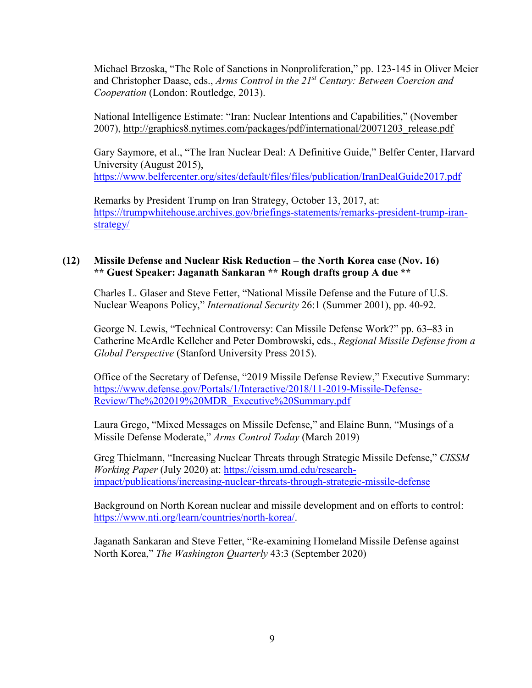Michael Brzoska, "The Role of Sanctions in Nonproliferation," pp. 123-145 in Oliver Meier and Christopher Daase, eds., *Arms Control in the 21st Century: Between Coercion and Cooperation* (London: Routledge, 2013).

National Intelligence Estimate: "Iran: Nuclear Intentions and Capabilities," (November 2007), [http://graphics8.nytimes.com/packages/pdf/international/20071203\\_release.pdf](http://graphics8.nytimes.com/packages/pdf/international/20071203_release.pdf)

Gary Saymore, et al., "The Iran Nuclear Deal: A Definitive Guide," Belfer Center, Harvard University (August 2015), <https://www.belfercenter.org/sites/default/files/files/publication/IranDealGuide2017.pdf>

Remarks by President Trump on Iran Strategy, October 13, 2017, at: [https://trumpwhitehouse.archives.gov/briefings-statements/remarks-president-trump-iran](https://trumpwhitehouse.archives.gov/briefings-statements/remarks-president-trump-iran-strategy/)[strategy/](https://trumpwhitehouse.archives.gov/briefings-statements/remarks-president-trump-iran-strategy/) 

### **(12) Missile Defense and Nuclear Risk Reduction – the North Korea case (Nov. 16) \*\* Guest Speaker: Jaganath Sankaran \*\* Rough drafts group A due \*\***

Charles L. Glaser and Steve Fetter, "National Missile Defense and the Future of U.S. Nuclear Weapons Policy," *International Security* 26:1 (Summer 2001), pp. 40-92.

George N. Lewis, "Technical Controversy: Can Missile Defense Work?" pp. 63–83 in Catherine McArdle Kelleher and Peter Dombrowski, eds., *Regional Missile Defense from a Global Perspective* (Stanford University Press 2015).

Office of the Secretary of Defense, "2019 Missile Defense Review," Executive Summary: [https://www.defense.gov/Portals/1/Interactive/2018/11-2019-Missile-Defense-](https://www.defense.gov/Portals/1/Interactive/2018/11-2019-Missile-Defense-Review/The%202019%20MDR_Executive%20Summary.pdf)[Review/The%202019%20MDR\\_Executive%20Summary.pdf](https://www.defense.gov/Portals/1/Interactive/2018/11-2019-Missile-Defense-Review/The%202019%20MDR_Executive%20Summary.pdf) 

Laura Grego, "Mixed Messages on Missile Defense," and Elaine Bunn, "Musings of a Missile Defense Moderate," *Arms Control Today* (March 2019)

Greg Thielmann, "Increasing Nuclear Threats through Strategic Missile Defense," *CISSM Working Paper* (July 2020) at: [https://cissm.umd.edu/research](https://cissm.umd.edu/research-impact/publications/increasing-nuclear-threats-through-strategic-missile-defense)[impact/publications/increasing-nuclear-threats-through-strategic-missile-defense](https://cissm.umd.edu/research-impact/publications/increasing-nuclear-threats-through-strategic-missile-defense)

Background on North Korean nuclear and missile development and on efforts to control: [https://www.nti.org/learn/countries/north-korea/.](https://www.nti.org/learn/countries/north-korea/)

Jaganath Sankaran and Steve Fetter, "Re-examining Homeland Missile Defense against North Korea," *The Washington Quarterly* 43:3 (September 2020)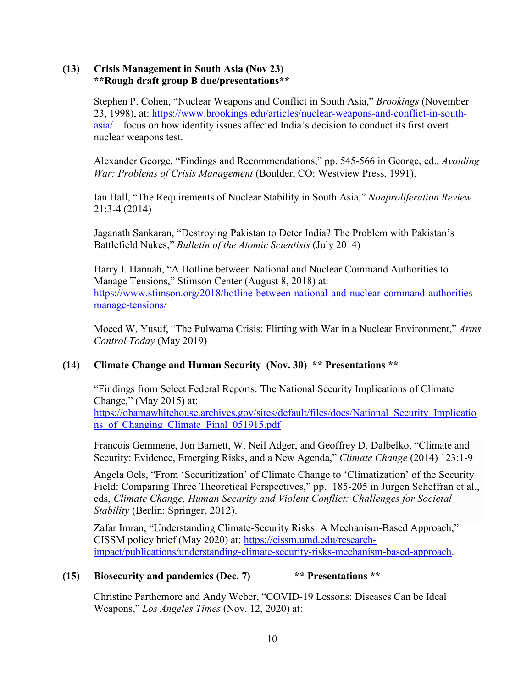## **(13) Crisis Management in South Asia (Nov 23) \*\*Rough draft group B due/presentations\*\***

Stephen P. Cohen, "Nuclear Weapons and Conflict in South Asia," *Brookings* (November 23, 1998), at: [https://www.brookings.edu/articles/nuclear-weapons-and-conflict-in-south](https://www.brookings.edu/articles/nuclear-weapons-and-conflict-in-south-asia/)[asia/](https://www.brookings.edu/articles/nuclear-weapons-and-conflict-in-south-asia/) – focus on how identity issues affected India's decision to conduct its first overt nuclear weapons test.

Alexander George, "Findings and Recommendations," pp. 545-566 in George, ed., *Avoiding War: Problems of Crisis Management* (Boulder, CO: Westview Press, 1991).

Ian Hall, "The Requirements of Nuclear Stability in South Asia," *Nonproliferation Review*  21:3-4 (2014)

Jaganath Sankaran, "Destroying Pakistan to Deter India? The Problem with Pakistan's Battlefield Nukes," *Bulletin of the Atomic Scientists* (July 2014)

Harry I. Hannah, "A Hotline between National and Nuclear Command Authorities to Manage Tensions," Stimson Center (August 8, 2018) at: [https://www.stimson.org/2018/hotline-between-national-and-nuclear-command-authorities](https://www.stimson.org/2018/hotline-between-national-and-nuclear-command-authorities-manage-tensions/)[manage-tensions/](https://www.stimson.org/2018/hotline-between-national-and-nuclear-command-authorities-manage-tensions/)

Moeed W. Yusuf, "The Pulwama Crisis: Flirting with War in a Nuclear Environment," *Arms Control Today* (May 2019)

# **(14) Climate Change and Human Security (Nov. 30) \*\* Presentations \*\***

"Findings from Select Federal Reports: The National Security Implications of Climate Change," (May 2015) at: [https://obamawhitehouse.archives.gov/sites/default/files/docs/National\\_Security\\_Implicatio](https://obamawhitehouse.archives.gov/sites/default/files/docs/National_Security_Implications_of_Changing_Climate_Final_051915.pdf) ns of Changing Climate Final 051915.pdf

Francois Gemmene, Jon Barnett, W. Neil Adger, and Geoffrey D. Dalbelko, "Climate and Security: Evidence, Emerging Risks, and a New Agenda," *Climate Change* (2014) 123:1-9

Angela Oels, "From 'Securitization' of Climate Change to 'Climatization' of the Security Field: Comparing Three Theoretical Perspectives," pp. 185-205 in Jurgen Scheffran et al., eds, *Climate Change, Human Security and Violent Conflict: Challenges for Societal Stability* (Berlin: Springer, 2012).

Zafar Imran, "Understanding Climate-Security Risks: A Mechanism-Based Approach," CISSM policy brief (May 2020) at: [https://cissm.umd.edu/research](https://cissm.umd.edu/research-impact/publications/understanding-climate-security-risks-mechanism-based-approach)[impact/publications/understanding-climate-security-risks-mechanism-based-approach.](https://cissm.umd.edu/research-impact/publications/understanding-climate-security-risks-mechanism-based-approach)

# **(15) Biosecurity and pandemics (Dec. 7) \*\* Presentations \*\***

Christine Parthemore and Andy Weber, "COVID-19 Lessons: Diseases Can be Ideal Weapons," *Los Angeles Times* (Nov. 12, 2020) at: